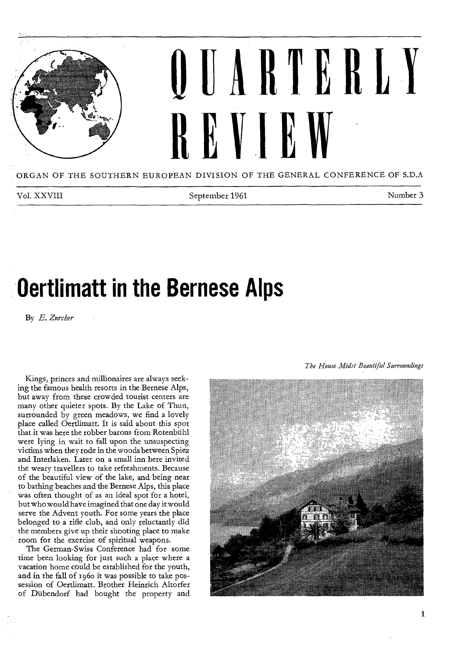

ORGAN OF THE SOUTHERN EUROPEAN DIVISION OF THE GENERAL CONFERENCE OF S.D.A

Vol. XXVIII September 1961 Number 3

# **Oertlimatt in the Bernese Alps**

By E. Zurcher

Kings, princes and millionaires are always seeking the famous health resorts in the Bernese Alps, but away from these crowded tourist centers are many other quieter spots. By the Lake of Thun, surrounded by green meadows, we find a lovely place called Oertlimatt. It is said about this spot that it was here the robber barons from Rotenbiihl were lying in wait to fall upon the unsuspecting victims when they rode in the woods between Spiez and Interlaken. Later on a small inn here invited the weary travellers to take refreshments. Because of the beautiful view of the lake, and being near to bathing beaches and the Bernese Alps, this place was often thought of as an ideal spot for a hotel, but who would have imagined that one day it would serve the Advent youth. For some years the place belonged to a rifle club, and only reluctantly did the members give up their shooting place to make room for the exercise of spiritual weapons.

The German-Swiss Conference had for some time been looking for just such a place where a vacation home could be established for the youth, and in the fall of 196o it was possible to take possession of Oertlimatt. Brother Heinrich Altorfer of Diibendorf had bought the property and



*The House Midst Beautiful Surroundings*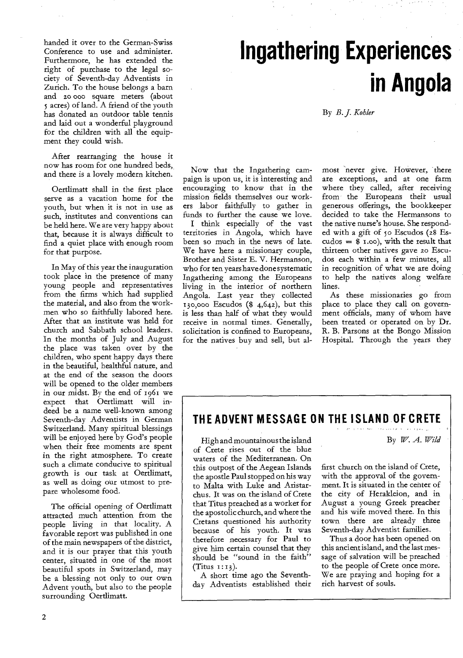handed it over to the German-Swiss Conference to use and administer. Furthermore, he has extended the right of purchase to the legal society of Seventh-day Adventists in Zurich. To the house belongs a barn and zo 000 square meters (about 5 acres) of land. A friend of the youth has donated an outdoor table tennis and laid out a wonderful playground for the children with all the equipment they could wish.

After rearranging the house it now has room for one hundred beds, and there is a lovely modern kitchen.

Oertlimatt shall in the first place serve as a vacation home for the youth, but when it is not in use as such, institutes and conventions can be held here. We are very happy about that, because it is always difficult to find a quiet place with enough room for that purpose.

In May of this year the inauguration took place in the presence of many young people and representatives from the firms which had supplied the material, and also from the workmen who so faithfully labored here. After that an institute was held for church and Sabbath school leaders. In the months of July and August the place was taken over by the children, who spent happy days there in the beautiful, healthful nature, and at the end of the season the doors will be opened to the older members in our midst. By the end of 1961 we expect that Oertlimatt will indeed be a name well-known among Seventh-day Adventists in German Switzerland. Many spiritual blessings will be enjoyed here by God's people when their free moments are spent in the right atmosphere. To create such a climate conducive to spiritual growth is our task at Oertlimatt, as well as doing our utmost to prepare wholesome food.

The official opening of Oertlimatt attracted much attention from the people living in that locality. A favorable report was published in one of the main newspapers of the district, and it is our prayer that this youth center, situated in one of the most beautiful spots in Switzerland, may be a blessing not only to our own Advent youth, but also to the people surrounding Oertlimatt.

# **Ingathering Experiences in Angola**

By B. J. Kohler

Now that the Ingathering campaign is upon us, it is interesting and encouraging to know that in the mission fields themselves our workers labor faithfully to gather in funds to further the cause we love.

I think especially of the vast territories in Angola, which have been so much in the news of late. We have here a missionary couple, Brother and Sister E. V. Hermanson, who for ten years have done systematic Ingathering among the Europeans living in the interior of northern Angola. Last year they collected 130,000 Escudos (\$ 4,642), but this is less than half of what they would receive in normal times. Generally, solicitation is confined to Europeans, for the natives buy and sell, but almost never give. However, there are exceptions, and at one farm where they called, after receiving from the Europeans their usual generous offerings, the bookkeeper decided to take the Hermansons to the native nurse's house. She responded with a gift of 50 Escudos (28 Es- $\c{cudos} =$  \$ 1.00), with the result that thirteen other natives gave zo Escudos each within a few minutes, all in recognition of what we are doing to help the natives along welfare lines.

As these missionaries go from place to place they call on government officials, many of whom have been treated or operated on by Dr. R. B. Parsons at the Bongo Mission Hospital. Through the years they

### **THE ADVENT MESSAGE ON THE ISLAND OF CRETE**

High and mountainous the island of Crete rises out of the blue waters of the Mediterranean. On this outpost of the Aegean Islands the apostle Paul stopped on his way to Malta with Luke and Aristarchus. It was on the island of Crete that Titus preached as a worker for the apostolic church, and where the Cretans questioned his authority because of his youth. It was therefore necessary for Paul to give him certain counsel that they should be "sound in the faith" (Titus  $1:13$ ).

A short time ago the Seventhday Adventists established their

.<br>Heriotzak la By IV. *A. Wild* 

first church on the island of Crete, with the approval of the government. It is situated in the center of the city of Herakleion, and in August a young Greek preacher and his wife moved there. In this town there are already three Seventh-day Adventist families.

Thus a door has been opened on this ancient island, and the last message of salvation will be preached to the people of Crete once more. We are praying and hoping for a rich harvest of souls.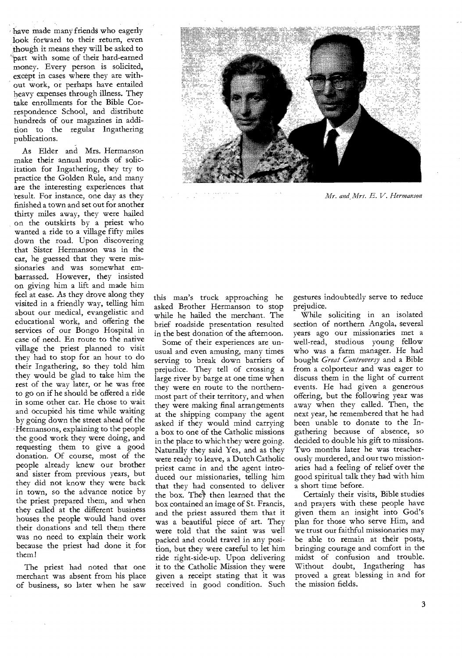have made many friends who eagerly look forward to their return, even though it means they will be asked to `'part with some of their hard-earned money. Every person is solicited, except in cases where they are without work, or perhaps have entailed heavy expenses through illness. They take enrollments for the Bible Correspondence School, and distribute hundreds of our magazines in addition to the regular Ingathering publications.

As Elder and Mrs. Hermanson make their annual rounds of solicitation for Ingathering, they try to practice the Golden Rule, and many are the interesting experiences that result. For instance, one day as they finished a town and set out for another thirty miles away, they were hailed on the outskirts by a priest who wanted a ride to a village fifty miles down the road. Upon discovering that Sister Hermanson was in the car, he guessed that they were missionaries and was somewhat embarrassed. However, they insisted on giving him a lift and made him feel at ease. As they drove along they visited in a friendly way, telling him about our medical, evangelistic and educational work, and offering the services of our Bongo Hospital in case of need. En route to the native village the priest planned to visit they had to stop for an hour to do their Ingathering, so they told him they would be glad to take him the rest of the way later, or he was free to go on if he should be offered a ride in some other car. He chose to wait and occupied his time while waiting by going down the street ahead of the Hermansons, explaining to the people the good work they were doing, and requesting them to give a good donation. Of course, most of the people already knew our brother and sister from previous years, but they did not know they were back in town, so the advance notice by the priest prepared them, and when they called at the different business houses the people would hand over their donations and tell them there was no need to explain their work because the priest had done it for them!

The priest had noted that one merchant was absent from his place of business, so later when he saw



*Mr. and Mrs. E. V. Hermanson* 

this man's truck approaching he asked Brother Hermanson to stop while he hailed the merchant. The brief roadside presentation resulted in the best donation of the afternoon.

Some of their experiences are unusual and even amusing, many times serving to break down barriers of prejudice. They tell of crossing a large river by barge at one time when they were en route to the northernmost part of their territory, and when they were making final arrangements at the shipping company the agent asked if they would mind carrying a box to one of the Catholic missions in the place to which they were going. Naturally they said Yes, and as they were ready to leave, a Dutch Catholic priest came in and the agent introduced our missionaries, telling him that they had consented to deliver the box. They then learned that the box contained an image of St. Francis, and the priest assured them that it was a beautiful piece of art. They were told that the saint was well packed and could travel in any position, but they were careful to let him ride right-side-up. Upon delivering it to the Catholic Mission they were given a receipt stating that it was received in good condition. Such gestures indoubtedly serve to reduce prejudice.

While soliciting in an isolated section of northern Angola, several years ago our missionaries met a well-read, studious young fellow who was a farm manager. He had bought *Great Controversy* and a Bible from a colporteur and was eager to discuss them in the light of current events. He had given a generous offering, but the following year was away when they called. Then, the next year, he remembered that he had been unable to donate to the Ingathering because of absence, so decided to double his gift to missions. Two months later he was treacherously murdered, and our two missionaries had a feeling of relief over the good spiritual talk they had with him a short time before.

Certainly their visits, Bible studies and prayers with these people have given them an insight into God's plan for those who serve Him, and we trust our faithful missionaries may be able to remain at their posts, bringing courage and comfort in the midst of confusion and trouble. Without doubt, Ingathering has proved a great blessing in and for the mission fields.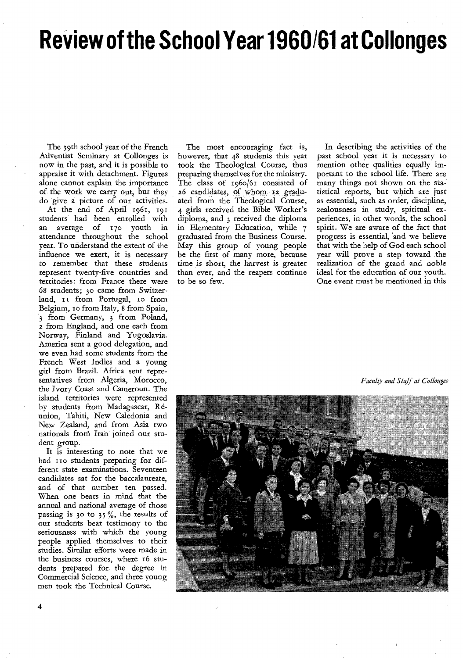# **Review of the School Year 1960/61 at Collonges**

The 39th school year of the French Adventist Seminary at Collonges is now in the past, and it is possible to appraise it with detachment. Figures alone cannot explain the importance of the work we carry out, but they do give a picture of our activities. At the end of April 1961, 191 students had been enrolled with an average of t7o youth in attendance throughout the school year. To understand the extent of the influence we exert, it is necessary to remember that these students represent twenty-five countries and territories: from France there were 68 students; 3o came from Switzerland, 11 from Portugal, 10 from Belgium, to from Italy, 8 from Spain, 3 from Germany, 3 from Poland, z from England, and one each from Norway, Finland and Yugoslavia. America sent a good delegation, and we even had some students from the French West Indies and a young girl from Brazil. Africa sent representatives from Algeria, Morocco, the Ivory Coast and Cameroun. The island territories were represented by students from Madagascar, Reunion, Tahiti, New Caledonia and New Zealand, and from Asia two nationals from Iran joined our student group.

It is interesting to note that we had 110 students preparing for different state examinations. Seventeen candidates sat for the baccalaureate, and of that number ten passed. When one bears in mind that the annual and national average of those passing is 30 to 35%, the results of our students bear testimony to the seriousness with which the young people applied themselves to their studies. Similar efforts were made in the business courses, where 16 students prepared for the degree in Commercial Science, and three young men took the Technical Course.

The most encouraging fact is, however, that 48 students this year took the Theological Course, thus preparing themselves for the ministry. The class of 196o/61 consisted of 26 candidates, of whom isz graduated from the Theological Course, 4 girls received the Bible Worker's diploma, and 3 received the diploma in Elementary Education, while 7 graduated from the Business Course. May this group of young people be the first of many more, because time is short, the harvest is greater than ever, and the reapers continue to be so few.

In describing the activities of the past school year it is necessary to mention other qualities equally important to the school life. There are many things not shown on the statistical reports, but which are just as essential, such as order, discipline, zealousness in study, spiritual experiences, in other words, the school spirit. We are aware of the fact that progress is essential, 'and we believe that with the help of God each school year will prove a step toward the realization of the grand and noble ideal for the education of our youth. One event must be mentioned in this

*Faculty and Staff at Collonges* 

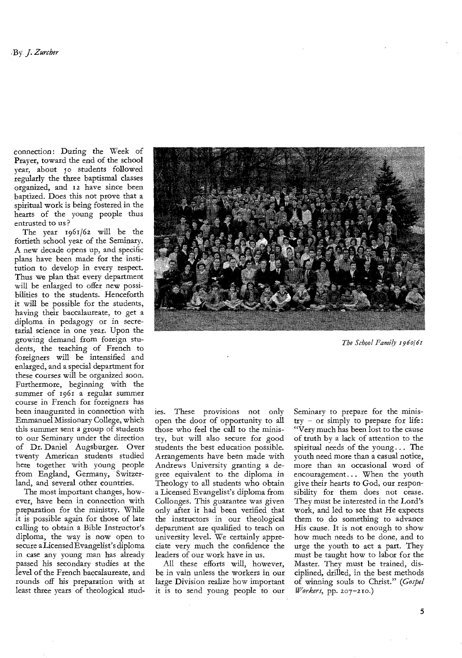connection: During the Week of Prayer, toward the end of the school year, about 5o students followed regularly the three baptismal classes organized, and 12 have since been baptized. Does this not prove that a spiritual work is being fostered in the hearts of the young people thus entrusted to us ?

The year 1961/6z will be the fortieth school year of the Seminary. A new decade opens up, and specific plans have been made for the institution to develop in every respect. Thus we plan that every department will be enlarged to offer new possibilities to the students. Henceforth it will be possible for the students, having their baccalaureate, to get a diploma in pedagogy or in secretarial science in one year. Upon the growing demand from foreign students, the teaching of French to foreigners will be intensified and enlarged, and a special department for these courses will be organized soon. Furthermore, beginning with the summer of 1961 a regular summer course in French for foreigners has been inaugurated in connection with Emmanuel Missionary College, which this summer sent a group of students to our Seminary under the direction of Dr. Daniel Augsburger. Over twenty American students studied here together with young people from England, Germany, Switzerland, and several other countries.

The most important changes, however, have been in connection with preparation for the ministry. While it is possible again for those of late calling to obtain a Bible Instructor's diploma, the way is now open to secure a Licensed Evangelist's diploma in case any young man has already passed his secondary studies at the level of the French baccalaureate, and rounds off his preparation with at least three years of theological stud-



*The School Family 1960/61* 

ies. These provisions not only open the door of opportunity to all those who feel the call to the ministry, but will also secure for good students the best education possible. Arrangements have been made with Andrews University granting a degree equivalent to the diploma in Theology to all students who obtain a Licensed Evangelist's diploma from Collonges. This guarantee was given only after it had been verified that the instructors in our theological department are qualified to teach on university level. We certainly appreciate very much the confidence the leaders of our work have in us.

All these efforts will, however, be in vain unless the workers in our large Division realize how important it is to send young people to our

Seminary to prepare for the minis $try - or simply to prepare for life:$ "Very much has been lost to the cause of truth by a lack of attention to the spiritual needs of the young .. . The youth need more than a casual notice, more than an occasional word of encouragement... When the youth give their hearts to God, our responsibility for them does not cease. They must be interested in the Lord's work, and led to see that He expects them to do something to advance His cause. It is not enough to show how much needs to be done, and to urge the youth to act a part. They must be taught how to labor for the Master. They must be trained, disciplined, drilled, in the best methods of winning souls to Christ." *(Gospel Workers,* pp. 207-21o.)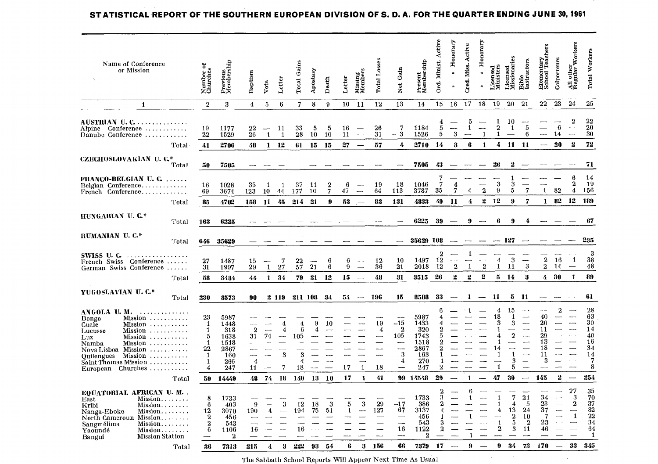| Active<br>Honorary<br>onorary<br>Workers<br>Cred. Miss. Active<br>Teachers<br><b>Total Workers</b><br>Licensed<br>Missionaries<br>Elementary<br>School Teac<br>Colporteurs<br>Bible<br>Instructors<br>Total Losses<br>Minist.<br>Present<br>Membership<br>Previous<br>Membership<br><b>Total Gains</b><br>Name of Conference<br>៵<br>Licensed<br>Ministers<br>All other<br>Regular<br>Gain<br>or Mission<br>Number of<br>Churches<br>Apostasy<br>Missing<br>Members<br>$\bullet$<br>Baptism<br>Letter<br>Letter<br>Death<br>$\overline{d}$<br>Vote<br>$\vec{z}$<br>$\hat{\phantom{a}}$<br>23<br>24<br>25<br>19<br>20<br>21<br>22<br>13<br>18<br>$\overline{2}$<br>3<br>$6\phantom{.}6$<br>7<br>8<br>10<br>12<br>14<br>15<br>16<br>17<br>1<br>4<br>5<br>9<br>-11<br>$\overline{2}$<br>22<br>5<br>10<br>1<br>AUSTRIAN U. C.<br>4<br>$\overline{20}$<br>5<br>6<br>7<br>1184<br>5<br>$\mathbf 2$<br>19<br>11<br>33<br>-5<br>5<br>16<br>26<br>1<br>1<br>$\overline{\phantom{a}}$<br>1177<br>22<br>Conference<br>Alpine<br>$\overline{\phantom{a}}$<br>$-3$<br>30<br>31<br>5<br>3<br>$\mathbf{1}$<br>6<br>22<br>28<br>1526<br>1<br>14<br>$\overline{\phantom{a}}$<br>26<br>10<br>10<br>11<br>---<br>1529<br>$\mathbf{1}$<br>$\mathbf{1}$<br>$\overline{\phantom{a}}$<br>Danube Conference<br>72<br>$\mathbf{2}$<br>27<br>4<br>2710<br>14<br>6<br>$\mathbf{1}$<br>4<br>11<br>11<br>20<br>2706<br>48<br>1<br>12<br>61<br>15<br>15<br>57<br>3<br>Total.<br>41<br>$\overline{\phantom{a}}$<br>$\overline{\phantom{0}}$<br>CZECHOSLOVAKIAN U. C.*<br>7505<br>43<br>26<br>2<br>71<br>Total<br>50<br>7505<br>14<br>7<br>6<br>1<br>FRANCO-BELGIAN U. C.<br>3<br>$\frac{3}{5}$<br>19<br>7<br>2<br>18<br>1046<br>6<br>19<br>4<br>$\overline{\phantom{0}}$<br>لمستد<br>16<br>1028<br>35<br>37<br>11<br>$\boldsymbol{2}$<br>Belgian Conference<br>$\mathbf{1}$<br>$\mathbf{1}$<br>$\overline{7}$<br>$\mathbf{1}$<br>$\mathbf{2}$<br>9<br>82<br>4<br>156<br>7<br>3787<br>35<br>7<br>69<br>123<br>10<br>47<br>$\overline{\phantom{a}}$<br>64<br>113<br>4<br>3674<br>10<br>177<br>44<br>French Conference<br>12<br>$\mathbf{2}$<br>12<br>$\bf{9}$<br>$\overline{7}$<br>$\mathbf{1}$<br>82<br>189<br>131<br>49<br>11<br>4<br>83<br>4833<br>85<br>45<br>214<br>21<br>9<br>53<br>4702<br>158<br>11<br>Total<br>$\overline{\phantom{a}}$<br>HUNGARIAN U.C.*<br>6225<br>67<br>39<br>6<br>163<br>6225<br>9<br>9<br>4<br>Total<br>RUMANIAN U.C.*<br>235<br>35629 108<br>127<br>35629<br>Total<br>646<br>3<br>2<br>1<br>SWISS U. C. $\dots \dots \dots \dots$<br>$\boldsymbol{3}$<br>$\mathbf 2$<br>38<br>12<br>16<br>$\mathbf{1}$<br>12<br>10<br>1497<br>4<br>$\overline{\phantom{a}}$<br>27<br>7<br>$\frac{22}{57}$<br>6<br>6<br>1487<br>15<br>French Swiss Conference<br>$\sim$<br>--<br>$\mathbf{3}$<br>$\mathbf{2}$<br>$\overline{2}$<br>48<br>21<br>36<br>21<br>2018<br>12<br>$\mathbf{1}$<br>$\mathbf{1}$<br>$\mathbf 2$<br>14<br>6<br>31<br>29<br>$\mathbf{1}$<br>27<br>9<br>11<br>1997<br>$\overline{\phantom{0}}$<br>German Swiss Conference<br>89<br>26<br>2<br>3<br>31<br>3515<br>$\boldsymbol{2}$<br>$\mathbf{2}$<br>5<br>-14<br>4<br>30<br>1<br>34<br>79<br>21<br>12<br>48<br>58<br>3484<br>44<br>$\mathbf{1}$<br>15<br>Total<br>$\overline{\phantom{m}}$<br>YUGOSLAVIAN U.C.*<br>61<br>196<br>15<br>8588<br>33<br>-11<br>5<br>11<br>230<br>2 119<br>211 108<br>34<br>54<br>1<br>Total<br>8573<br>90<br>$\overline{\phantom{a}}$<br>$\hspace{0.05cm}$<br>28<br>$\bf{2}$<br>15<br>6<br>4<br>$\overline{\phantom{a}}$<br>1<br>ANGOLA U.M. $\dots\dots\dots\dots$<br>63<br>40<br>18<br>5987<br>1<br>$\sim$<br>23<br>5987<br>---<br>4<br>Mission<br>Bongo<br>30<br>$-15$<br>19<br>1433<br>3<br>3<br>20<br>$\mathbf{1}$<br>$\overline{4}$<br>9<br>10<br>----<br>--<br>1448<br>4<br>Cuale<br>Mission<br>$\overline{2}$<br>14<br>6<br>320<br>11<br>$\overline{\phantom{a}}$<br>318<br>$\mathbf{2}$<br>4<br>$\overline{4}$<br>1<br>1<br>4<br>$\overline{\phantom{a}}$<br>Mission<br>Lucusse<br>$\mathbf{2}$<br>40<br>29<br>74<br>105<br>1743<br>1638<br>31<br>105<br>$\sim$<br>5<br>5<br>4<br>Mission<br>Luz<br>16<br>13<br>1518<br>$\sim$<br>$\mathbf{1}$<br>1518<br>$\overline{\phantom{m}}$<br>Namba<br>34<br>2867<br>2<br>18<br>22<br>14<br>$\overline{a}$<br>2867<br>Nova Lisboa Mission<br>3<br>14<br>$\mathbf{1}$<br>3<br>3<br>163<br>1<br>11<br>1<br>1<br>160<br>Quilengues<br>Mission<br>7<br>3<br>$\boldsymbol{4}$<br>270<br>3<br>266<br>1<br>4<br>4<br>-1<br>$\sim$<br>$Saint$ Thomas Mission $\ldots \ldots \ldots$<br>8<br>$\mathbf{1}$<br>$\overline{7}$<br>18<br>247<br>2<br>5<br>$\overline{4}$<br>247<br>18<br>17<br>$\mathbf{1}$<br>$\overline{\phantom{a}}$<br>$\overline{\phantom{a}}$<br>11<br>European Churches $\ldots \ldots \ldots$<br>$\mathbf{2}$<br>254<br>17<br>$\mathbf{1}$<br>41<br>99 14548<br>29<br>47<br>30<br>145<br>74<br>18<br>140<br>13<br>-10<br>1<br>14449<br>48<br>$\overline{\phantom{a}}$<br>$\overline{\phantom{a}}$<br>Total<br>59.<br><u>—</u><br>27<br>35<br>$\mathbf 2$<br>6<br>EQUATORIAL AFRICAN U.M<br>$\overline{7}$<br>34<br>1733<br>21<br>$\overline{\phantom{a}}$<br>3<br>70<br>3<br>$\mathbf{1}$<br>8<br>1<br>1733<br>$Mission$<br>East<br>37<br>3<br>23<br>$\overline{2}$<br>5<br>29<br>3<br>3<br>$-17$<br>12<br>18<br>386<br>$\bf{2}$<br>4<br>-5<br>$\overline{\phantom{a}}$<br>6<br>9<br>$\mathbf{1}$<br>403<br>Mission<br>Kribi<br>82<br>127<br>13<br>24<br>37<br>75<br>67<br>3137<br>4<br>51<br>$\overline{\phantom{a}}$<br>12<br>3070<br>190<br>4<br>194<br>1<br>4<br>مسد<br>Nanga-Eboko<br>Mission<br>22<br>$\boldsymbol{2}$<br>1<br>456<br>10<br>7<br>$\mathbf{2}$<br>1<br>$\overline{\phantom{a}}$<br>456<br>-1<br>North Cameroun Mission<br>23<br>34<br>$\mathbf{1}$<br>5<br>$\mathbf{2}$<br>$\overline{2}$<br>543<br>3<br>543<br>Sangmélima<br>Mission<br>$\mathbf{2}$<br>11<br>64<br>16<br>1122<br>3<br>46<br>16<br>2<br>6<br>1106<br>16<br>Yaoundé<br>Mission<br>$\mathbf{2}$<br>$\mathbf{1}$<br>$\overline{2}$<br><b>Mission Station</b><br>$\overline{\phantom{a}}$<br>Bangui<br>345<br>33<br>222<br>93<br>6<br>3<br>156<br>66<br>7379<br>17<br>9<br>9<br>34<br>73<br>170<br>36<br>7313<br>215<br>3<br>54<br>4<br>$\overline{\phantom{m}}$<br>$\sim$<br>Total |  |  |  |  |  |  |  |  |  |  |  |  |  |  |
|---------------------------------------------------------------------------------------------------------------------------------------------------------------------------------------------------------------------------------------------------------------------------------------------------------------------------------------------------------------------------------------------------------------------------------------------------------------------------------------------------------------------------------------------------------------------------------------------------------------------------------------------------------------------------------------------------------------------------------------------------------------------------------------------------------------------------------------------------------------------------------------------------------------------------------------------------------------------------------------------------------------------------------------------------------------------------------------------------------------------------------------------------------------------------------------------------------------------------------------------------------------------------------------------------------------------------------------------------------------------------------------------------------------------------------------------------------------------------------------------------------------------------------------------------------------------------------------------------------------------------------------------------------------------------------------------------------------------------------------------------------------------------------------------------------------------------------------------------------------------------------------------------------------------------------------------------------------------------------------------------------------------------------------------------------------------------------------------------------------------------------------------------------------------------------------------------------------------------------------------------------------------------------------------------------------------------------------------------------------------------------------------------------------------------------------------------------------------------------------------------------------------------------------------------------------------------------------------------------------------------------------------------------------------------------------------------------------------------------------------------------------------------------------------------------------------------------------------------------------------------------------------------------------------------------------------------------------------------------------------------------------------------------------------------------------------------------------------------------------------------------------------------------------------------------------------------------------------------------------------------------------------------------------------------------------------------------------------------------------------------------------------------------------------------------------------------------------------------------------------------------------------------------------------------------------------------------------------------------------------------------------------------------------------------------------------------------------------------------------------------------------------------------------------------------------------------------------------------------------------------------------------------------------------------------------------------------------------------------------------------------------------------------------------------------------------------------------------------------------------------------------------------------------------------------------------------------------------------------------------------------------------------------------------------------------------------------------------------------------------------------------------------------------------------------------------------------------------------------------------------------------------------------------------------------------------------------------------------------------------------------------------------------------------------------------------------------------------------------------------------------------------------------------------------------------------------------------------------------------------------------------------------------------------------------------------------------------------------------------------------------------------------------------------------------------------------------------------------------------------------------------------------------------------------------------------------------------------------------------------------------------------------------------------------------------------------------------------------------------------------------------------------------------------------------------------------------------------------------------------------------------------------------------------------------------------------------------------------------------------------------------------------------------------------------------------------------------------------------------------------------------------------------------------------------------------------------------------------------------------------------------------------------------------------------------------------------------------------------------------------------------------------------------------------------------------------------------------------------------------------------------------------------------------------------------------------------------|--|--|--|--|--|--|--|--|--|--|--|--|--|--|
|                                                                                                                                                                                                                                                                                                                                                                                                                                                                                                                                                                                                                                                                                                                                                                                                                                                                                                                                                                                                                                                                                                                                                                                                                                                                                                                                                                                                                                                                                                                                                                                                                                                                                                                                                                                                                                                                                                                                                                                                                                                                                                                                                                                                                                                                                                                                                                                                                                                                                                                                                                                                                                                                                                                                                                                                                                                                                                                                                                                                                                                                                                                                                                                                                                                                                                                                                                                                                                                                                                                                                                                                                                                                                                                                                                                                                                                                                                                                                                                                                                                                                                                                                                                                                                                                                                                                                                                                                                                                                                                                                                                                                                                                                                                                                                                                                                                                                                                                                                                                                                                                                                                                                                                                                                                                                                                                                                                                                                                                                                                                                                                                                                                                                                                                                                                                                                                                                                                                                                                                                                                                                                                                                                                                               |  |  |  |  |  |  |  |  |  |  |  |  |  |  |
|                                                                                                                                                                                                                                                                                                                                                                                                                                                                                                                                                                                                                                                                                                                                                                                                                                                                                                                                                                                                                                                                                                                                                                                                                                                                                                                                                                                                                                                                                                                                                                                                                                                                                                                                                                                                                                                                                                                                                                                                                                                                                                                                                                                                                                                                                                                                                                                                                                                                                                                                                                                                                                                                                                                                                                                                                                                                                                                                                                                                                                                                                                                                                                                                                                                                                                                                                                                                                                                                                                                                                                                                                                                                                                                                                                                                                                                                                                                                                                                                                                                                                                                                                                                                                                                                                                                                                                                                                                                                                                                                                                                                                                                                                                                                                                                                                                                                                                                                                                                                                                                                                                                                                                                                                                                                                                                                                                                                                                                                                                                                                                                                                                                                                                                                                                                                                                                                                                                                                                                                                                                                                                                                                                                                               |  |  |  |  |  |  |  |  |  |  |  |  |  |  |
|                                                                                                                                                                                                                                                                                                                                                                                                                                                                                                                                                                                                                                                                                                                                                                                                                                                                                                                                                                                                                                                                                                                                                                                                                                                                                                                                                                                                                                                                                                                                                                                                                                                                                                                                                                                                                                                                                                                                                                                                                                                                                                                                                                                                                                                                                                                                                                                                                                                                                                                                                                                                                                                                                                                                                                                                                                                                                                                                                                                                                                                                                                                                                                                                                                                                                                                                                                                                                                                                                                                                                                                                                                                                                                                                                                                                                                                                                                                                                                                                                                                                                                                                                                                                                                                                                                                                                                                                                                                                                                                                                                                                                                                                                                                                                                                                                                                                                                                                                                                                                                                                                                                                                                                                                                                                                                                                                                                                                                                                                                                                                                                                                                                                                                                                                                                                                                                                                                                                                                                                                                                                                                                                                                                                               |  |  |  |  |  |  |  |  |  |  |  |  |  |  |
|                                                                                                                                                                                                                                                                                                                                                                                                                                                                                                                                                                                                                                                                                                                                                                                                                                                                                                                                                                                                                                                                                                                                                                                                                                                                                                                                                                                                                                                                                                                                                                                                                                                                                                                                                                                                                                                                                                                                                                                                                                                                                                                                                                                                                                                                                                                                                                                                                                                                                                                                                                                                                                                                                                                                                                                                                                                                                                                                                                                                                                                                                                                                                                                                                                                                                                                                                                                                                                                                                                                                                                                                                                                                                                                                                                                                                                                                                                                                                                                                                                                                                                                                                                                                                                                                                                                                                                                                                                                                                                                                                                                                                                                                                                                                                                                                                                                                                                                                                                                                                                                                                                                                                                                                                                                                                                                                                                                                                                                                                                                                                                                                                                                                                                                                                                                                                                                                                                                                                                                                                                                                                                                                                                                                               |  |  |  |  |  |  |  |  |  |  |  |  |  |  |
|                                                                                                                                                                                                                                                                                                                                                                                                                                                                                                                                                                                                                                                                                                                                                                                                                                                                                                                                                                                                                                                                                                                                                                                                                                                                                                                                                                                                                                                                                                                                                                                                                                                                                                                                                                                                                                                                                                                                                                                                                                                                                                                                                                                                                                                                                                                                                                                                                                                                                                                                                                                                                                                                                                                                                                                                                                                                                                                                                                                                                                                                                                                                                                                                                                                                                                                                                                                                                                                                                                                                                                                                                                                                                                                                                                                                                                                                                                                                                                                                                                                                                                                                                                                                                                                                                                                                                                                                                                                                                                                                                                                                                                                                                                                                                                                                                                                                                                                                                                                                                                                                                                                                                                                                                                                                                                                                                                                                                                                                                                                                                                                                                                                                                                                                                                                                                                                                                                                                                                                                                                                                                                                                                                                                               |  |  |  |  |  |  |  |  |  |  |  |  |  |  |
|                                                                                                                                                                                                                                                                                                                                                                                                                                                                                                                                                                                                                                                                                                                                                                                                                                                                                                                                                                                                                                                                                                                                                                                                                                                                                                                                                                                                                                                                                                                                                                                                                                                                                                                                                                                                                                                                                                                                                                                                                                                                                                                                                                                                                                                                                                                                                                                                                                                                                                                                                                                                                                                                                                                                                                                                                                                                                                                                                                                                                                                                                                                                                                                                                                                                                                                                                                                                                                                                                                                                                                                                                                                                                                                                                                                                                                                                                                                                                                                                                                                                                                                                                                                                                                                                                                                                                                                                                                                                                                                                                                                                                                                                                                                                                                                                                                                                                                                                                                                                                                                                                                                                                                                                                                                                                                                                                                                                                                                                                                                                                                                                                                                                                                                                                                                                                                                                                                                                                                                                                                                                                                                                                                                                               |  |  |  |  |  |  |  |  |  |  |  |  |  |  |
|                                                                                                                                                                                                                                                                                                                                                                                                                                                                                                                                                                                                                                                                                                                                                                                                                                                                                                                                                                                                                                                                                                                                                                                                                                                                                                                                                                                                                                                                                                                                                                                                                                                                                                                                                                                                                                                                                                                                                                                                                                                                                                                                                                                                                                                                                                                                                                                                                                                                                                                                                                                                                                                                                                                                                                                                                                                                                                                                                                                                                                                                                                                                                                                                                                                                                                                                                                                                                                                                                                                                                                                                                                                                                                                                                                                                                                                                                                                                                                                                                                                                                                                                                                                                                                                                                                                                                                                                                                                                                                                                                                                                                                                                                                                                                                                                                                                                                                                                                                                                                                                                                                                                                                                                                                                                                                                                                                                                                                                                                                                                                                                                                                                                                                                                                                                                                                                                                                                                                                                                                                                                                                                                                                                                               |  |  |  |  |  |  |  |  |  |  |  |  |  |  |
|                                                                                                                                                                                                                                                                                                                                                                                                                                                                                                                                                                                                                                                                                                                                                                                                                                                                                                                                                                                                                                                                                                                                                                                                                                                                                                                                                                                                                                                                                                                                                                                                                                                                                                                                                                                                                                                                                                                                                                                                                                                                                                                                                                                                                                                                                                                                                                                                                                                                                                                                                                                                                                                                                                                                                                                                                                                                                                                                                                                                                                                                                                                                                                                                                                                                                                                                                                                                                                                                                                                                                                                                                                                                                                                                                                                                                                                                                                                                                                                                                                                                                                                                                                                                                                                                                                                                                                                                                                                                                                                                                                                                                                                                                                                                                                                                                                                                                                                                                                                                                                                                                                                                                                                                                                                                                                                                                                                                                                                                                                                                                                                                                                                                                                                                                                                                                                                                                                                                                                                                                                                                                                                                                                                                               |  |  |  |  |  |  |  |  |  |  |  |  |  |  |
|                                                                                                                                                                                                                                                                                                                                                                                                                                                                                                                                                                                                                                                                                                                                                                                                                                                                                                                                                                                                                                                                                                                                                                                                                                                                                                                                                                                                                                                                                                                                                                                                                                                                                                                                                                                                                                                                                                                                                                                                                                                                                                                                                                                                                                                                                                                                                                                                                                                                                                                                                                                                                                                                                                                                                                                                                                                                                                                                                                                                                                                                                                                                                                                                                                                                                                                                                                                                                                                                                                                                                                                                                                                                                                                                                                                                                                                                                                                                                                                                                                                                                                                                                                                                                                                                                                                                                                                                                                                                                                                                                                                                                                                                                                                                                                                                                                                                                                                                                                                                                                                                                                                                                                                                                                                                                                                                                                                                                                                                                                                                                                                                                                                                                                                                                                                                                                                                                                                                                                                                                                                                                                                                                                                                               |  |  |  |  |  |  |  |  |  |  |  |  |  |  |
|                                                                                                                                                                                                                                                                                                                                                                                                                                                                                                                                                                                                                                                                                                                                                                                                                                                                                                                                                                                                                                                                                                                                                                                                                                                                                                                                                                                                                                                                                                                                                                                                                                                                                                                                                                                                                                                                                                                                                                                                                                                                                                                                                                                                                                                                                                                                                                                                                                                                                                                                                                                                                                                                                                                                                                                                                                                                                                                                                                                                                                                                                                                                                                                                                                                                                                                                                                                                                                                                                                                                                                                                                                                                                                                                                                                                                                                                                                                                                                                                                                                                                                                                                                                                                                                                                                                                                                                                                                                                                                                                                                                                                                                                                                                                                                                                                                                                                                                                                                                                                                                                                                                                                                                                                                                                                                                                                                                                                                                                                                                                                                                                                                                                                                                                                                                                                                                                                                                                                                                                                                                                                                                                                                                                               |  |  |  |  |  |  |  |  |  |  |  |  |  |  |
|                                                                                                                                                                                                                                                                                                                                                                                                                                                                                                                                                                                                                                                                                                                                                                                                                                                                                                                                                                                                                                                                                                                                                                                                                                                                                                                                                                                                                                                                                                                                                                                                                                                                                                                                                                                                                                                                                                                                                                                                                                                                                                                                                                                                                                                                                                                                                                                                                                                                                                                                                                                                                                                                                                                                                                                                                                                                                                                                                                                                                                                                                                                                                                                                                                                                                                                                                                                                                                                                                                                                                                                                                                                                                                                                                                                                                                                                                                                                                                                                                                                                                                                                                                                                                                                                                                                                                                                                                                                                                                                                                                                                                                                                                                                                                                                                                                                                                                                                                                                                                                                                                                                                                                                                                                                                                                                                                                                                                                                                                                                                                                                                                                                                                                                                                                                                                                                                                                                                                                                                                                                                                                                                                                                                               |  |  |  |  |  |  |  |  |  |  |  |  |  |  |
|                                                                                                                                                                                                                                                                                                                                                                                                                                                                                                                                                                                                                                                                                                                                                                                                                                                                                                                                                                                                                                                                                                                                                                                                                                                                                                                                                                                                                                                                                                                                                                                                                                                                                                                                                                                                                                                                                                                                                                                                                                                                                                                                                                                                                                                                                                                                                                                                                                                                                                                                                                                                                                                                                                                                                                                                                                                                                                                                                                                                                                                                                                                                                                                                                                                                                                                                                                                                                                                                                                                                                                                                                                                                                                                                                                                                                                                                                                                                                                                                                                                                                                                                                                                                                                                                                                                                                                                                                                                                                                                                                                                                                                                                                                                                                                                                                                                                                                                                                                                                                                                                                                                                                                                                                                                                                                                                                                                                                                                                                                                                                                                                                                                                                                                                                                                                                                                                                                                                                                                                                                                                                                                                                                                                               |  |  |  |  |  |  |  |  |  |  |  |  |  |  |
|                                                                                                                                                                                                                                                                                                                                                                                                                                                                                                                                                                                                                                                                                                                                                                                                                                                                                                                                                                                                                                                                                                                                                                                                                                                                                                                                                                                                                                                                                                                                                                                                                                                                                                                                                                                                                                                                                                                                                                                                                                                                                                                                                                                                                                                                                                                                                                                                                                                                                                                                                                                                                                                                                                                                                                                                                                                                                                                                                                                                                                                                                                                                                                                                                                                                                                                                                                                                                                                                                                                                                                                                                                                                                                                                                                                                                                                                                                                                                                                                                                                                                                                                                                                                                                                                                                                                                                                                                                                                                                                                                                                                                                                                                                                                                                                                                                                                                                                                                                                                                                                                                                                                                                                                                                                                                                                                                                                                                                                                                                                                                                                                                                                                                                                                                                                                                                                                                                                                                                                                                                                                                                                                                                                                               |  |  |  |  |  |  |  |  |  |  |  |  |  |  |
|                                                                                                                                                                                                                                                                                                                                                                                                                                                                                                                                                                                                                                                                                                                                                                                                                                                                                                                                                                                                                                                                                                                                                                                                                                                                                                                                                                                                                                                                                                                                                                                                                                                                                                                                                                                                                                                                                                                                                                                                                                                                                                                                                                                                                                                                                                                                                                                                                                                                                                                                                                                                                                                                                                                                                                                                                                                                                                                                                                                                                                                                                                                                                                                                                                                                                                                                                                                                                                                                                                                                                                                                                                                                                                                                                                                                                                                                                                                                                                                                                                                                                                                                                                                                                                                                                                                                                                                                                                                                                                                                                                                                                                                                                                                                                                                                                                                                                                                                                                                                                                                                                                                                                                                                                                                                                                                                                                                                                                                                                                                                                                                                                                                                                                                                                                                                                                                                                                                                                                                                                                                                                                                                                                                                               |  |  |  |  |  |  |  |  |  |  |  |  |  |  |
|                                                                                                                                                                                                                                                                                                                                                                                                                                                                                                                                                                                                                                                                                                                                                                                                                                                                                                                                                                                                                                                                                                                                                                                                                                                                                                                                                                                                                                                                                                                                                                                                                                                                                                                                                                                                                                                                                                                                                                                                                                                                                                                                                                                                                                                                                                                                                                                                                                                                                                                                                                                                                                                                                                                                                                                                                                                                                                                                                                                                                                                                                                                                                                                                                                                                                                                                                                                                                                                                                                                                                                                                                                                                                                                                                                                                                                                                                                                                                                                                                                                                                                                                                                                                                                                                                                                                                                                                                                                                                                                                                                                                                                                                                                                                                                                                                                                                                                                                                                                                                                                                                                                                                                                                                                                                                                                                                                                                                                                                                                                                                                                                                                                                                                                                                                                                                                                                                                                                                                                                                                                                                                                                                                                                               |  |  |  |  |  |  |  |  |  |  |  |  |  |  |

### **STATISTICAL REPORT OF THE SOUTHERN EUROPEAN DIVISION OF S. D. A. FOR THE QUARTER ENDING JUNE 30, 1961**

The Sabbath School Reports Will Appear Next Time As Usual

 $\mathcal{L}_{\text{max}}$  and  $\mathcal{L}_{\text{max}}$  . In the  $\mathcal{L}_{\text{max}}$ 

 $\mathcal{L}^{\mathcal{L}}$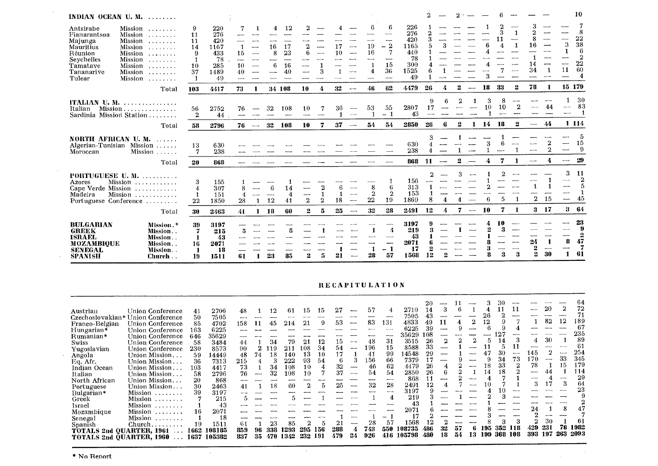| INDIAN OCEAN U.M.                                                                                              | .                                                                                                                                                                       |                                                     |                                                             |                                                                   |                         |                            |                                |                                       |                    |                                                      |                           |                                         |                                                             | $\overline{2}$     |      |              |                          |         |         |                |                                    |                     |                        | 10                                                    |
|----------------------------------------------------------------------------------------------------------------|-------------------------------------------------------------------------------------------------------------------------------------------------------------------------|-----------------------------------------------------|-------------------------------------------------------------|-------------------------------------------------------------------|-------------------------|----------------------------|--------------------------------|---------------------------------------|--------------------|------------------------------------------------------|---------------------------|-----------------------------------------|-------------------------------------------------------------|--------------------|------|--------------|--------------------------|---------|---------|----------------|------------------------------------|---------------------|------------------------|-------------------------------------------------------|
| Antsirabe<br>Fianarantsoa<br>Majunga<br>Mauritius<br>Réunion<br>Seychelles<br>Tamatave<br>Tananarive<br>Tulear | Mission<br>. <i>.</i> .<br>Mission<br>Mission<br>.<br>Mission<br>.<br>Mission<br>.<br>Mission<br>Mission<br>1.1.1.1.1.1.1<br>Mission<br>1.1.1.1.1.1.1.1<br>Mission<br>. | 9<br>11<br>11<br>14<br>$9\,$<br>1<br>10<br>37<br>-1 | 220<br>276<br>420<br>1167<br>433<br>78<br>285<br>1489<br>49 | 7<br>15<br>$\overline{\phantom{a}}$<br>10<br>40<br><b>Service</b> | 4<br>16<br>8<br>--<br>6 | 12<br>17<br>23<br>16<br>40 | 2<br>6                         |                                       | 17<br>10           | $\sim$<br>$\sim$                                     | 19<br>16<br>4             | 6<br>$-2$<br>7<br>—…<br>15<br>36<br>--- | 226<br>276<br>420<br>1165<br>440<br>78<br>300<br>1525<br>49 | 5                  |      |              |                          | 3       | 3       | 1              | 16<br>34                           |                     | 3<br>1<br>---<br>11    | 8<br>22<br>38<br>6<br>$\overline{2}$<br>22<br>60<br>4 |
|                                                                                                                | Total                                                                                                                                                                   | 103                                                 | 4417                                                        | 73<br>1                                                           |                         | 34 108                     | 10                             | 4                                     | 32                 | $\overline{\phantom{a}}$                             | 46                        | 62                                      | 4479                                                        | 26                 | 4    | 2            | $\overline{\phantom{a}}$ | 18      | 33      | 2              | 78                                 | -1                  | 15 179                 |                                                       |
| ITALIAN U.M.<br>Italian<br>Sardinia Mission Station.                                                           | . <i>.</i><br>Mission                                                                                                                                                   | 56<br>$\boldsymbol{2}$                              | 2752<br>44                                                  | 76                                                                | 32                      | 108<br>--                  | 10<br>$\overline{\phantom{a}}$ |                                       | 36                 | $\cdots$<br>$\overline{\phantom{a}}$                 | 53                        | 55<br>1<br>$\overline{\phantom{0}}$     | 2807<br>43                                                  | 9<br>17<br>---     |      |              |                          | 3<br>10 | 8<br>10 | $\overline{2}$ |                                    | 44                  | ---                    | 30<br>83<br>-1                                        |
|                                                                                                                | Total                                                                                                                                                                   | 58                                                  | 2796                                                        | 76<br>$\hspace{0.05cm} \dashrightarrow$                           | 32                      | 108                        | 10                             | 7                                     | 37                 | $\overline{\phantom{a}}$                             | 54                        | 54                                      | 2850                                                        | 26                 | 6    | 2            | -1                       | 14      | 18      | 2              | $\overline{\phantom{a}}$           | 44                  |                        | 1 1 1 4                                               |
| NORTH AFRICAN U.M.<br>1.1.1.1.1<br>Algerian-Tunisian Mission<br>Mission<br>Moroccan                            |                                                                                                                                                                         | 13<br>$\overline{7}$                                | 630<br>238                                                  |                                                                   |                         |                            |                                |                                       |                    |                                                      |                           |                                         | 630<br>238                                                  | 3<br>4             |      |              |                          |         |         |                |                                    | 2<br>$\overline{2}$ |                        | 5<br>15<br>-9                                         |
|                                                                                                                | Total                                                                                                                                                                   | 20                                                  | 868                                                         |                                                                   |                         |                            |                                |                                       |                    |                                                      |                           |                                         | 868                                                         | 11                 | ---- | $\mathbf{2}$ |                          | 4       | 7       | -1             |                                    | 4                   |                        | 29                                                    |
| PORTUGUESE U. M.<br>Mission<br>Azores<br>.<br>Cape Verde Mission<br>.<br>Madeira<br>Portuguese Conference      |                                                                                                                                                                         | 3<br>4<br>1<br>22                                   | 155<br>307<br>151<br>1850                                   | 8<br>4<br>28<br>1                                                 | 6<br>$\sim$<br>12       | 14<br>4<br>41              | $-\cdot$<br>$\boldsymbol{2}$   | $\overline{2}$<br>1<br>$\overline{2}$ | $\mathbf{f}$<br>18 | $\overline{\phantom{0}}$<br>$\overline{\phantom{a}}$ | 8<br>$\overline{2}$<br>22 | 6<br>$\mathbf{2}$<br>19                 | 156<br>313<br>153<br>1869                                   | $\mathcal{D}$<br>8 | 4    | З            |                          |         |         | 1              | $\overline{2}$                     | 15                  | 3<br>----<br>---<br>-- | 11<br>$\boldsymbol{2}$<br>5<br>$\mathbf{1}$<br>45     |
|                                                                                                                | Total                                                                                                                                                                   | 30                                                  | 2463                                                        | 41<br>1                                                           | 18                      | 60                         | $\mathbf{2}$                   | 5                                     | 25                 |                                                      | 32                        | 28                                      | 2491                                                        | 12                 | 4    | 7            | $\sim$                   | 10      | 7       | -1             | $\bf{3}$                           | 17                  | 3                      | -64                                                   |
| <b>BULGARIAN</b><br><b>GREEK</b><br><b>ISRAEL</b><br><b>MOZAMBIQUE</b><br><b>SENEGAL</b><br><b>SPANISH</b>     | Mission.*<br>Mission<br>Mission<br>Mission<br>Mission<br>Church                                                                                                         | 39<br>7<br>-1<br>16<br>-1<br>19                     | 3197<br>215<br>43<br>2071<br>18<br>1511                     | ā<br>61                                                           | 23                      | 5<br>85                    | 2                              | 5                                     | 21                 |                                                      | 28                        | 4<br>---<br>$-1$<br>57                  | 3197<br>219<br>43<br>2071<br>17<br>1568                     | Я<br>12            |      |              |                          |         | 3       | ----<br>3      | 24<br>$\mathbf{2}$<br>$\mathbf{2}$ | 30                  | 8<br>1                 | 23<br>9<br>$\mathbf{2}$<br>47<br>7<br>61              |

#### RECAPITULATION

 $\sim$   $\sim$ 

 $\sim 10^6$ 

|                          |                                                                                              |      |        |      |    |     |      |     |     |     |                          |     |       |        |     |                          |     |       |     |     |             |       |      |                    | 64   |
|--------------------------|----------------------------------------------------------------------------------------------|------|--------|------|----|-----|------|-----|-----|-----|--------------------------|-----|-------|--------|-----|--------------------------|-----|-------|-----|-----|-------------|-------|------|--------------------|------|
| Austrian                 | Union Conference                                                                             | 41   | 2706   | 48   |    | 12  | 61   | 15  | 15  |     |                          | 57  |       | 2710   | 14  |                          |     |       |     |     | 11          |       | 20   | $\mathbf 2$        | 72   |
|                          | Czechoslovakian* Union Conference                                                            | 50   | 7505   | --   |    |     |      |     |     |     | <b>BUSINESS</b>          |     |       | 7505   | 43  |                          |     |       |     |     |             |       |      |                    | 71   |
| Franco-Belgian           | Union Conference                                                                             | 85   | 4702   | 158  | 11 | 45  | 214  | 21  |     | 53  |                          | 83  | 131   | 4833   | 49  |                          |     |       | 12  |     |             |       | 82   | 12                 | 189  |
| Hungarian*               | Union Conference                                                                             | 163  | 6225   |      |    |     |      |     |     |     |                          |     |       | 6225   | 39  | $\overline{\phantom{a}}$ |     |       |     |     |             |       |      |                    | -67  |
| Rumanian*                | Union Conference                                                                             | 646  | 35629  |      |    |     |      |     |     |     |                          |     |       | 35629  | 108 |                          |     |       |     | 27  |             |       |      |                    | 235  |
| Swiss                    | Union Conference                                                                             | 58   | 3484   | 44   |    | 34  | 79   | 21  | 12  | G I | --                       | 48  | 31    | 3515   | 26  | 2                        |     |       | 5.  |     |             | 4     | 30   |                    | 89   |
| Yugoslavian              | Union Conference                                                                             | 230  | 8573   | 90   |    | 119 | 211  | 108 | 34  | 54  | --                       | 196 | 15    | 8588   | 33  |                          |     |       |     |     | 11          | ----  |      | <b>Publication</b> | 61   |
| Angola                   | Union Mission.                                                                               | 59   | 14449  | 48   | 74 | 18  | 140  | 13  | 10  | 17  |                          | 41  | 99    | 14548  | 29  |                          |     |       |     | 30  | $rac{1}{2}$ | 145   |      | $-$                | 254  |
| Eq. Afr.                 | Union Mission.                                                                               | 36   | 7313   | 215  |    |     | 222  | 93  | 54  | 6   |                          | 156 | 66    | 7379   | 17  |                          |     |       |     | 34  | 73          | 170   | $-$  | 33                 | 345  |
| Indian Ocean             | Union Mission                                                                                | 103  | 4417   | 73   |    | 34  | 108  | 10  |     | 32  | -                        | 46  | 62    | 4479   | 26  | 4                        |     | ----- | 18  | 33  | 2           | 78    |      | 15                 | 179  |
| Italian                  | Union Mission                                                                                | 58   | 2796   | 76   | -  | 32  | 108  | 10  |     | 37  | -----                    | 54  | 54    | 2850   | 26  | 6                        |     |       | 14  | 18  |             | ----- | 44   |                    | 114  |
| North African            | Union Mission.                                                                               | 20   | 868    | ---- |    |     |      |     |     |     |                          |     | ----- | 868    |     |                          |     |       |     |     |             | ---   |      |                    | 29   |
| Portuguese               | Union Mission                                                                                | 30   | 2463   | 41   |    | 18  | 60   |     | 5   | 25  | $\overline{\phantom{a}}$ | 32  | 28    | 2491   | 12  |                          |     | ----- |     |     |             | 3     |      |                    | 64   |
| Bulgarian*               | Mission                                                                                      | 39   | 3197   |      |    |     |      |     |     |     |                          |     | --    | 3197   |     |                          |     |       |     |     |             |       |      |                    | 23   |
| Greek                    | Mission<br>$\begin{array}{cccccccccccccc} . & . & . & . & . & . & . & . & . & . \end{array}$ |      | 215    |      |    |     |      |     |     |     |                          |     | 4     | 219    |     |                          |     |       |     |     |             |       |      |                    |      |
| Israel                   |                                                                                              |      | 43     |      |    |     |      |     |     |     |                          |     |       | 43     |     |                          |     |       |     |     |             |       |      |                    |      |
| Mozambique               | Mission                                                                                      | 16   | 2071   |      |    |     |      |     |     |     |                          |     |       | 2071   |     |                          |     |       |     |     |             |       |      |                    | 47   |
| Senegal                  | Mission                                                                                      |      | 18     |      |    |     |      |     |     |     |                          |     |       | 17     |     |                          |     |       |     |     |             |       |      |                    |      |
| Spanish                  | $Church, \ldots \ldots$                                                                      | 19   | 1511   | -61  |    | 23  | 85   |     |     |     | --                       | 28  | 57    | 1568   |     |                          |     |       |     |     |             |       | 30   |                    | 61   |
|                          | <b>TOTALS 2nd QUARTER, 1961</b>                                                              | 1662 | 108185 | 859  | 96 | 338 | 1293 | 295 | 156 | 288 |                          | 743 | 550   | 108735 | 486 |                          | 57  |       |     | 352 | 118         | 429   | 231  | 76                 | 1982 |
| TOTALS 2nd QUARTER, 1960 |                                                                                              | 1637 | 105382 | 837  | 35 | 470 | 1342 | 232 | 191 | 479 | 24                       | 926 | 416   | 105798 | 480 | 18                       | 54. | 13    | 199 | 368 | 108         | 393   | -197 | 263                | 2093 |

 $\sim$   $\sim$ 

 $\sim 10^7$ 

 $\sim 10^{-1}$